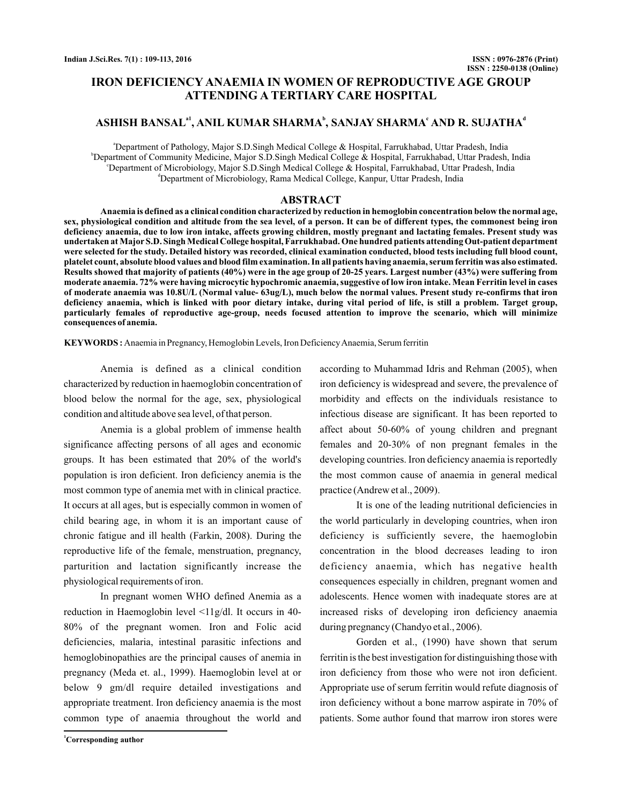# **IRON DEFICIENCY ANAEMIA IN WOMEN OF REPRODUCTIVE AGE GROUP ATTENDING A TERTIARY CARE HOSPITAL**

# ASHISH BANSAL<sup>a1</sup>, ANIL KUMAR SHARMA<sup>b</sup>, SANJAY SHARMA<sup>c</sup> AND R. SUJATHA<sup>d</sup>

a Department of Pathology, Major S.D.Singh Medical College & Hospital, Farrukhabad, Uttar Pradesh, India b Department of Community Medicine, Major S.D.Singh Medical College & Hospital, Farrukhabad, Uttar Pradesh, India c Department of Microbiology, Major S.D.Singh Medical College & Hospital, Farrukhabad, Uttar Pradesh, India d Department of Microbiology, Rama Medical College, Kanpur, Uttar Pradesh, India

## **ABSTRACT**

**Anaemia is defined as a clinical condition characterized by reduction in hemoglobin concentration below the normal age, sex, physiological condition and altitude from the sea level, of a person. It can be of different types, the commonest being iron deficiency anaemia, due to low iron intake, affects growing children, mostly pregnant and lactating females. Present study was undertaken atMajor S.D. SinghMedical College hospital, Farrukhabad. One hundred patients attending Out-patient department were selected for the study. Detailed history was recorded, clinical examination conducted, blood tests including full blood count, platelet count, absolute blood values and blood film examination. In all patients having anaemia, serum ferritin was also estimated. Results showed that majority of patients (40%) were in the age group of 20-25 years. Largest number (43%) were suffering from moderate anaemia. 72% were having microcytic hypochromic anaemia, suggestive of low iron intake. Mean Ferritin level in cases of moderate anaemia was 10.8U/L (Normal value- 63ug/L), much below the normal values. Present study re-confirms that iron deficiency anaemia, which is linked with poor dietary intake, during vital period of life, is still a problem. Target group, particularly females of reproductive age-group, needs focused attention to improve the scenario, which will minimize consequences of anemia.**

**KEYWORDS :** Anaemia in Pregnancy, Hemoglobin Levels, Iron DeficiencyAnaemia, Serum ferritin

Anemia is defined as a clinical condition characterized by reduction in haemoglobin concentration of blood below the normal for the age, sex, physiological condition and altitude above sea level, of that person.

Anemia is a global problem of immense health significance affecting persons of all ages and economic groups. It has been estimated that 20% of the world's population is iron deficient. Iron deficiency anemia is the most common type of anemia met with in clinical practice. It occurs at all ages, but is especially common in women of child bearing age, in whom it is an important cause of chronic fatigue and ill health (Farkin, 2008). During the reproductive life of the female, menstruation, pregnancy, parturition and lactation significantly increase the physiological requirements of iron.

In pregnant women WHO defined Anemia as a reduction in Haemoglobin level <11g/dl. It occurs in 40- 80% of the pregnant women. Iron and Folic acid deficiencies, malaria, intestinal parasitic infections and hemoglobinopathies are the principal causes of anemia in pregnancy (Meda et. al., 1999). Haemoglobin level at or below 9 gm/dl require detailed investigations and appropriate treatment. Iron deficiency anaemia is the most common type of anaemia throughout the world and according to Muhammad Idris and Rehman (2005), when iron deficiency is widespread and severe, the prevalence of morbidity and effects on the individuals resistance to infectious disease are significant. It has been reported to affect about 50-60% of young children and pregnant females and 20-30% of non pregnant females in the developing countries. Iron deficiency anaemia is reportedly the most common cause of anaemia in general medical practice (Andrew et al., 2009).

It is one of the leading nutritional deficiencies in the world particularly in developing countries, when iron deficiency is sufficiently severe, the haemoglobin concentration in the blood decreases leading to iron deficiency anaemia, which has negative health consequences especially in children, pregnant women and adolescents. Hence women with inadequate stores are at increased risks of developing iron deficiency anaemia during pregnancy (Chandyo et al., 2006).

Gorden et al., (1990) have shown that serum ferritin is the best investigation for distinguishing those with iron deficiency from those who were not iron deficient. Appropriate use of serum ferritin would refute diagnosis of iron deficiency without a bone marrow aspirate in 70% of patients. Some author found that marrow iron stores were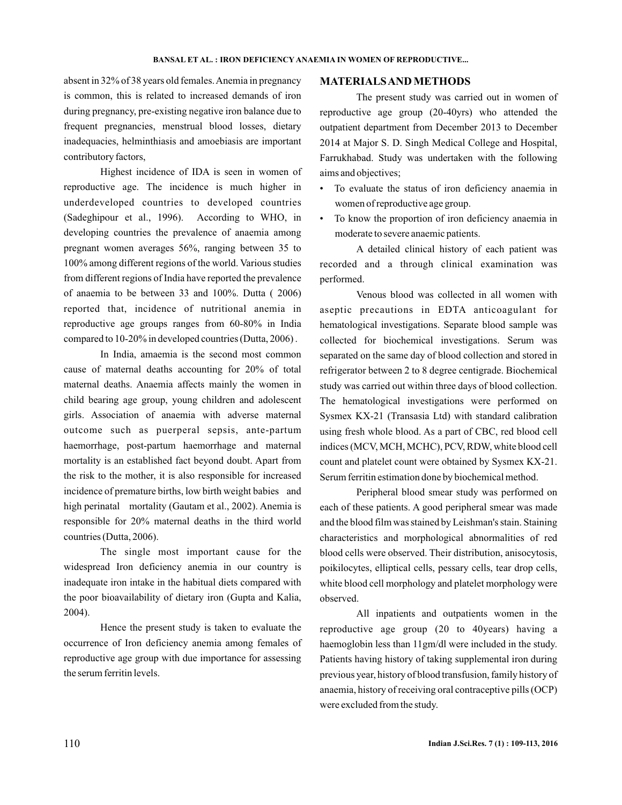absent in 32% of 38 years old females.Anemia in pregnancy is common, this is related to increased demands of iron during pregnancy, pre-existing negative iron balance due to frequent pregnancies, menstrual blood losses, dietary inadequacies, helminthiasis and amoebiasis are important contributory factors,

Highest incidence of IDA is seen in women of reproductive age. The incidence is much higher in underdeveloped countries to developed countries (Sadeghipour et al., 1996). According to WHO, in developing countries the prevalence of anaemia among pregnant women averages 56%, ranging between 35 to 100% among different regions of the world. Various studies from different regions of India have reported the prevalence of anaemia to be between 33 and 100%. Dutta ( 2006) reported that, incidence of nutritional anemia in reproductive age groups ranges from 60-80% in India compared to 10-20% in developed countries (Dutta, 2006) .

In India, amaemia is the second most common cause of maternal deaths accounting for 20% of total maternal deaths. Anaemia affects mainly the women in child bearing age group, young children and adolescent girls. Association of anaemia with adverse maternal outcome such as puerperal sepsis, ante-partum haemorrhage, post-partum haemorrhage and maternal mortality is an established fact beyond doubt. Apart from the risk to the mother, it is also responsible for increased incidence of premature births, low birth weight babies and high perinatal mortality (Gautam et al., 2002). Anemia is responsible for 20% maternal deaths in the third world countries (Dutta, 2006).

The single most important cause for the widespread Iron deficiency anemia in our country is inadequate iron intake in the habitual diets compared with the poor bioavailability of dietary iron (Gupta and Kalia, 2004).

Hence the present study is taken to evaluate the occurrence of Iron deficiency anemia among females of reproductive age group with due importance for assessing the serum ferritin levels.

### **MATERIALSANDMETHODS**

The present study was carried out in women of reproductive age group (20-40yrs) who attended the outpatient department from December 2013 to December 2014 at Major S. D. Singh Medical College and Hospital, Farrukhabad. Study was undertaken with the following aims and objectives;

- To evaluate the status of iron deficiency anaemia in women of reproductive age group.
- To know the proportion of iron deficiency anaemia in moderate to severe anaemic patients.

A detailed clinical history of each patient was recorded and a through clinical examination was performed.

Venous blood was collected in all women with aseptic precautions in EDTA anticoagulant for hematological investigations. Separate blood sample was collected for biochemical investigations. Serum was separated on the same day of blood collection and stored in refrigerator between 2 to 8 degree centigrade. Biochemical study was carried out within three days of blood collection. The hematological investigations were performed on Sysmex KX-21 (Transasia Ltd) with standard calibration using fresh whole blood. As a part of CBC, red blood cell indices (MCV, MCH, MCHC), PCV, RDW, white blood cell count and platelet count were obtained by Sysmex KX-21. Serum ferritin estimation done by biochemical method.

Peripheral blood smear study was performed on each of these patients. A good peripheral smear was made and the blood film was stained by Leishman's stain. Staining characteristics and morphological abnormalities of red blood cells were observed. Their distribution, anisocytosis, poikilocytes, elliptical cells, pessary cells, tear drop cells, white blood cell morphology and platelet morphology were observed.

All inpatients and outpatients women in the reproductive age group (20 to 40years) having a haemoglobin less than 11gm/dl were included in the study. Patients having history of taking supplemental iron during previous year, history of blood transfusion, family history of anaemia, history of receiving oral contraceptive pills (OCP) were excluded from the study.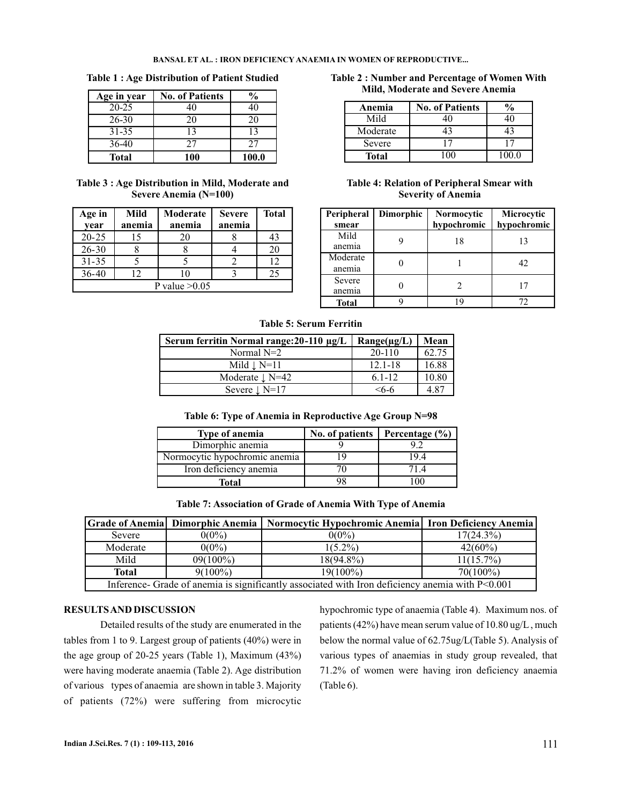### **BANSAL ET AL. : IRON DEFICIENCY ANAEMIA IN WOMEN OF REPRODUCTIVE...**

| Age in year  | <b>No. of Patients</b> | %     |
|--------------|------------------------|-------|
| $20 - 25$    | 40                     | 40    |
| 26-30        | 20                     | 20    |
| 31-35        | 13                     | 13    |
| 36-40        | 27                     | 27    |
| <b>Total</b> | 100                    | 100.0 |

**Table 3 : Age Distribution in Mild, Moderate and Severe Anemia (N=100)**

| Age in<br>year  | Mild<br>anemia | Moderate<br>anemia | <b>Severe</b><br>anemia | <b>Total</b> |  |
|-----------------|----------------|--------------------|-------------------------|--------------|--|
| $20 - 25$       | 15             | 20                 |                         | 43           |  |
| $26 - 30$       |                |                    |                         | 20           |  |
| $31 - 35$       |                |                    |                         | 12           |  |
| $36 - 40$       | 12             | 10                 |                         | 25           |  |
| P value $>0.05$ |                |                    |                         |              |  |

**Table 1 : Age Distribution of Patient Studied Table 2 : Number and Percentage of Women With Mild, Moderate and Severe Anemia**

| Anemia       | <b>No. of Patients</b> |       |
|--------------|------------------------|-------|
| Mild         |                        |       |
| Moderate     |                        |       |
| Severe       |                        |       |
| <b>Total</b> |                        | 100 0 |

**Table 4: Relation of Peripheral Smear with Severity of Anemia**

| Peripheral<br>smear | Dimorphic | Normocytic<br>hypochromic | Microcytic<br>hypochromic |
|---------------------|-----------|---------------------------|---------------------------|
| Mild<br>anemia      |           | 18                        | 13                        |
| Moderate<br>anemia  |           |                           | 42                        |
| Severe<br>anemia    |           |                           | 17                        |
| <b>Total</b>        |           |                           | 72                        |

**Table 5: Serum Ferritin**

| Serum ferritin Normal range: $20-110 \mu g/L$ | $Range(\mu g/L)$ | Mean  |
|-----------------------------------------------|------------------|-------|
| Normal $N=2$                                  | 20-110           | 62.75 |
| Mild $\perp$ N=11                             | $12.1 - 18$      | 16.88 |
| Moderate $\perp$ N=42                         | $6.1 - 12$       | 10.80 |
| Severe $\downarrow$ N=17                      | $<$ 6-6          | 4.87  |

|  | Table 6: Type of Anemia in Reproductive Age Group N=98 |  |
|--|--------------------------------------------------------|--|
|  |                                                        |  |

| <b>Type of anemia</b>         | No. of patients | Percentage $(\% )$ |
|-------------------------------|-----------------|--------------------|
| Dimorphic anemia              |                 |                    |
| Normocytic hypochromic anemia |                 | 194                |
| Iron deficiency anemia        |                 |                    |
| Total                         |                 |                    |

|  |  |  |  |  |  | Table 7: Association of Grade of Anemia With Type of Anemia |
|--|--|--|--|--|--|-------------------------------------------------------------|
|--|--|--|--|--|--|-------------------------------------------------------------|

|                                                                                                 | Grade of Anemia   Dimorphic Anemia | Normocytic Hypochromic Anemia   Iron Deficiency Anemia |              |  |  |
|-------------------------------------------------------------------------------------------------|------------------------------------|--------------------------------------------------------|--------------|--|--|
| Severe                                                                                          | $0(0\%)$                           | $0(0\%)$                                               | $17(24.3\%)$ |  |  |
| Moderate                                                                                        | $0(0\%)$                           | $1(5.2\%)$                                             | $42(60\%)$   |  |  |
| Mild                                                                                            | $09(100\%)$                        | $18(94.8\%)$                                           | $11(15.7\%)$ |  |  |
| <b>Total</b>                                                                                    | $9(100\%)$                         | $19(100\%)$                                            | $70(100\%)$  |  |  |
| Inference- Grade of anemia is significantly associated with Iron deficiency anemia with P<0.001 |                                    |                                                        |              |  |  |

# **RESULTSAND DISCUSSION**

Detailed results of the study are enumerated in the tables from 1 to 9. Largest group of patients (40%) were in the age group of 20-25 years (Table 1), Maximum (43%) were having moderate anaemia (Table 2). Age distribution of various types of anaemia are shown in table 3. Majority of patients (72%) were suffering from microcytic

hypochromic type of anaemia (Table 4). Maximum nos. of patients (42%) have mean serum value of 10.80 ug/L , much below the normal value of 62.75ug/L(Table 5). Analysis of various types of anaemias in study group revealed, that 71.2% of women were having iron deficiency anaemia (Table 6).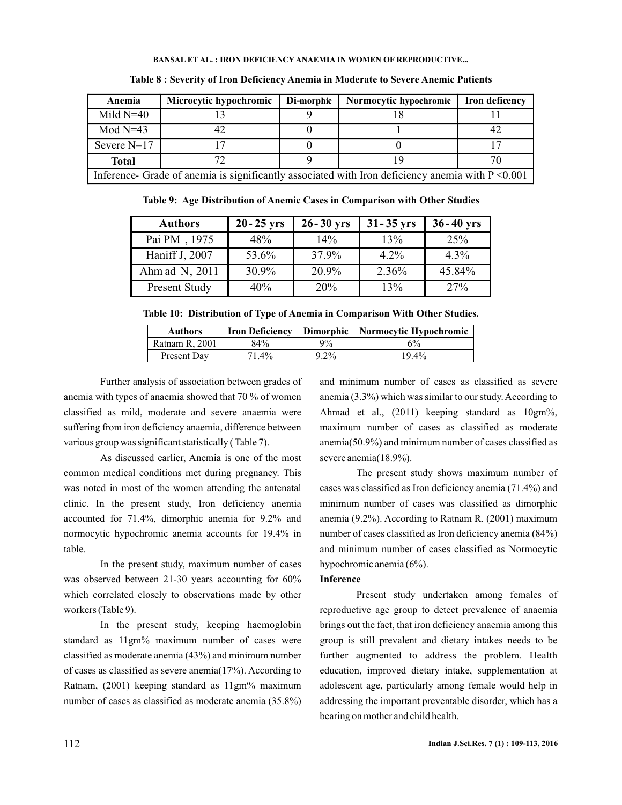#### **BANSAL ET AL. : IRON DEFICIENCY ANAEMIA IN WOMEN OF REPRODUCTIVE...**

| Anemia             | Microcytic hypochromic                                                                              | Di-morphic | Normocytic hypochromic | <b>Iron deficency</b> |  |
|--------------------|-----------------------------------------------------------------------------------------------------|------------|------------------------|-----------------------|--|
| Mild $N=40$        |                                                                                                     |            |                        |                       |  |
| Mod $N=43$         | 42                                                                                                  |            |                        | 4'                    |  |
| Severe $N=17$      |                                                                                                     |            |                        |                       |  |
| 72<br><b>Total</b> |                                                                                                     |            |                        |                       |  |
|                    | Inference- Grade of anemia is significantly associated with Iron deficiency anemia with $P < 0.001$ |            |                        |                       |  |

**Table 8 : Severity of Iron Deficiency Anemia in Moderate to Severe Anemic Patients**

**Table 9: Age Distribution of Anemic Cases in Comparison with Other Studies**

| <b>Authors</b>       | $20 - 25$ yrs | $26 - 30$ yrs | $31 - 35$ yrs | $36 - 40$ yrs |
|----------------------|---------------|---------------|---------------|---------------|
| Pai PM, 1975         | 48%           | 14%           | 13%           | 25%           |
| Haniff J, 2007       | 53.6%         | 37.9%         | $4.2\%$       | $4.3\%$       |
| Ahm ad N, 2011       | 30.9%         | 20.9%         | 2.36%         | 45.84%        |
| <b>Present Study</b> | 40%           | 20%           | 13%           | 27%           |

**Table 10: Distribution of Type of Anemia in Comparison With Other Studies.**

| <b>Authors</b> | <b>Iron Deficiency</b> | <b>Dimorphic</b> | Normocytic Hypochromic |
|----------------|------------------------|------------------|------------------------|
| Ratnam R. 2001 | 84%                    | $9\%$            | $6\%$                  |
| Present Day    | 71.4%                  | $9.2\%$          | $19.4\%$               |

Further analysis of association between grades of anemia with types of anaemia showed that 70 % of women classified as mild, moderate and severe anaemia were suffering from iron deficiency anaemia, difference between various group was significant statistically ( Table 7).

As discussed earlier, Anemia is one of the most common medical conditions met during pregnancy. This was noted in most of the women attending the antenatal clinic. In the present study, Iron deficiency anemia accounted for 71.4%, dimorphic anemia for 9.2% and normocytic hypochromic anemia accounts for 19.4% in table.

In the present study, maximum number of cases was observed between 21-30 years accounting for 60% which correlated closely to observations made by other workers (Table 9).

In the present study, keeping haemoglobin standard as 11gm% maximum number of cases were classified as moderate anemia (43%) and minimum number of cases as classified as severe anemia(17%). According to Ratnam, (2001) keeping standard as 11gm% maximum number of cases as classified as moderate anemia (35.8%)

and minimum number of cases as classified as severe anemia (3.3%) which was similar to our study.According to Ahmad et al., (2011) keeping standard as 10gm%, maximum number of cases as classified as moderate anemia(50.9%) and minimum number of cases classified as severe anemia(18.9%).

The present study shows maximum number of cases was classified as Iron deficiency anemia (71.4%) and minimum number of cases was classified as dimorphic anemia (9.2%). According to Ratnam R. (2001) maximum number of cases classified as Iron deficiency anemia (84%) and minimum number of cases classified as Normocytic hypochromic anemia (6%).

### **Inference**

Present study undertaken among females of reproductive age group to detect prevalence of anaemia brings out the fact, that iron deficiency anaemia among this group is still prevalent and dietary intakes needs to be further augmented to address the problem. Health education, improved dietary intake, supplementation at adolescent age, particularly among female would help in addressing the important preventable disorder, which has a bearing on mother and child health.